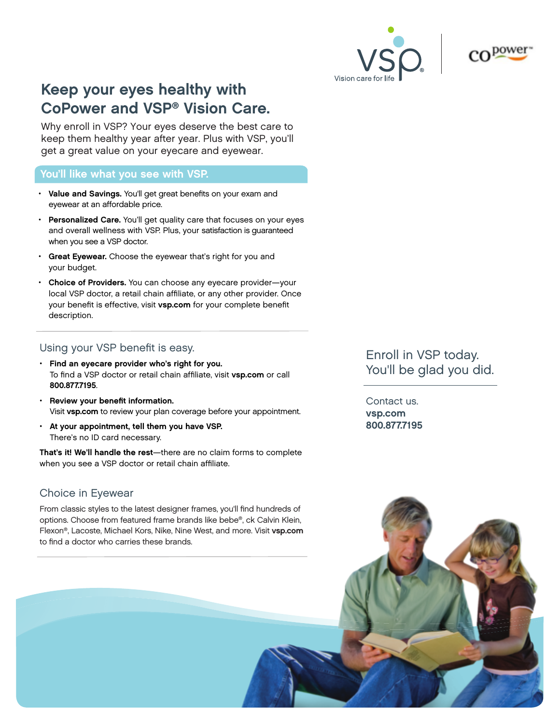



## Keep your eyes healthy with CoPower and VSP® Vision Care.

Why enroll in VSP? Your eyes deserve the best care to keep them healthy year after year. Plus with VSP, you'll get a great value on your eyecare and eyewear.

#### You'll like what you see with VSP.

- Value and Savings. You'll get great benefits on your exam and eyewear at an affordable price.
- Personalized Care. You'll get quality care that focuses on your eyes and overall wellness with VSP. Plus, your satisfaction is guaranteed when you see a VSP doctor.
- Great Eyewear. Choose the eyewear that's right for you and your budget.
- Choice of Providers. You can choose any eyecare provider-your local VSP doctor, a retail chain affiliate, or any other provider. Once your benefit is effective, visit vsp.com for your complete benefit description.

### Using your VSP benefit is easy.

- Find an eyecare provider who's right for you. To find a VSP doctor or retail chain affiliate, visit vsp.com or call 800.877.7195.
- Review your benefit information. Visit vsp.com to review your plan coverage before your appointment.
- At your appointment, tell them you have VSP. There's no ID card necessary.

That's it! We'll handle the rest—there are no claim forms to complete when you see a VSP doctor or retail chain affiliate.

## Choice in Eyewear

From classic styles to the latest designer frames, you'll find hundreds of options. Choose from featured frame brands like bebe®, ck Calvin Klein, Flexon®, Lacoste, Michael Kors, Nike, Nine West, and more. Visit vsp.com to find a doctor who carries these brands.

Enroll in VSP today. You'll be glad you did.

Contact us. vsp.com 800.877.7195